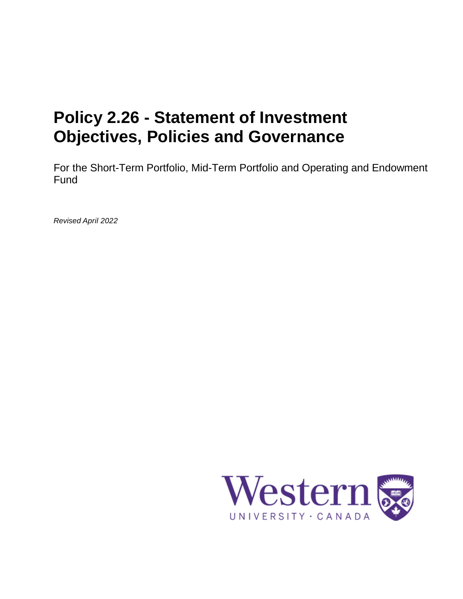# **Policy 2.26 - Statement of Investment Objectives, Policies and Governance**

For the Short-Term Portfolio, Mid-Term Portfolio and Operating and Endowment Fund

*Revised April 2022*

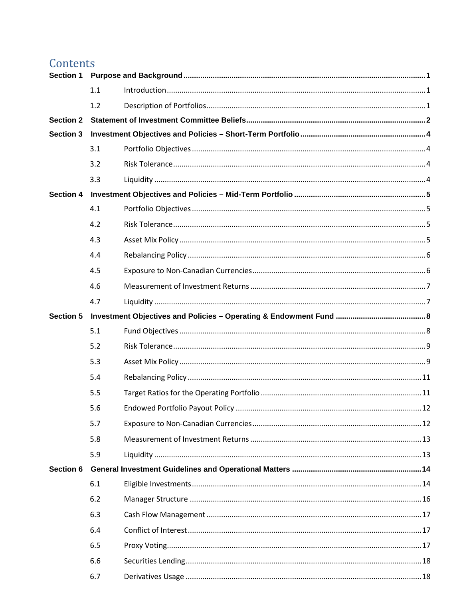## Contents

| <b>Section 1</b> |         |  |  |
|------------------|---------|--|--|
|                  | 1.1     |  |  |
|                  | 1.2     |  |  |
| <b>Section 2</b> |         |  |  |
| <b>Section 3</b> |         |  |  |
|                  | 3.1     |  |  |
|                  | 3.2     |  |  |
|                  | 3.3     |  |  |
| <b>Section 4</b> |         |  |  |
|                  | 4.1     |  |  |
|                  | 4.2     |  |  |
|                  | 4.3     |  |  |
|                  | 4.4     |  |  |
|                  | 4.5     |  |  |
|                  | 4.6     |  |  |
|                  | 4.7     |  |  |
| <b>Section 5</b> |         |  |  |
|                  | 5.1     |  |  |
|                  | 5.2     |  |  |
|                  | 5.3     |  |  |
|                  | 5.4     |  |  |
|                  | 5.5     |  |  |
|                  | $5.6\,$ |  |  |
|                  | 5.7     |  |  |
|                  | 5.8     |  |  |
|                  | 5.9     |  |  |
| Section 6        |         |  |  |
|                  | 6.1     |  |  |
|                  | 6.2     |  |  |
|                  | 6.3     |  |  |
|                  | 6.4     |  |  |
|                  | 6.5     |  |  |
|                  | 6.6     |  |  |
|                  | 6.7     |  |  |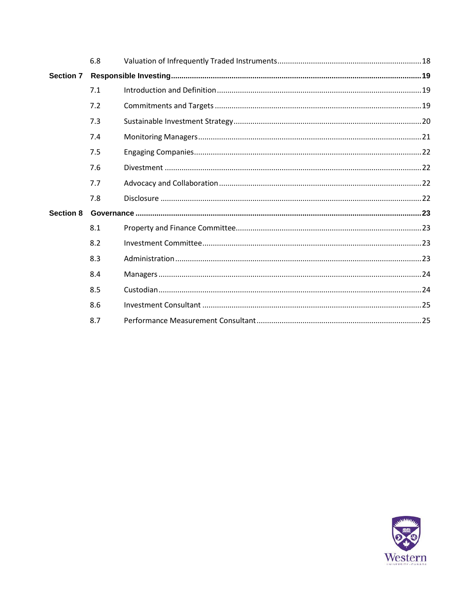|                  | 6.8 |  |  |  |
|------------------|-----|--|--|--|
| <b>Section 7</b> |     |  |  |  |
|                  | 7.1 |  |  |  |
|                  | 7.2 |  |  |  |
|                  | 7.3 |  |  |  |
|                  | 7.4 |  |  |  |
|                  | 7.5 |  |  |  |
|                  | 7.6 |  |  |  |
|                  | 7.7 |  |  |  |
|                  | 7.8 |  |  |  |
| <b>Section 8</b> |     |  |  |  |
|                  | 8.1 |  |  |  |
|                  | 8.2 |  |  |  |
|                  | 8.3 |  |  |  |
|                  | 8.4 |  |  |  |
|                  | 8.5 |  |  |  |
|                  | 8.6 |  |  |  |
|                  | 8.7 |  |  |  |

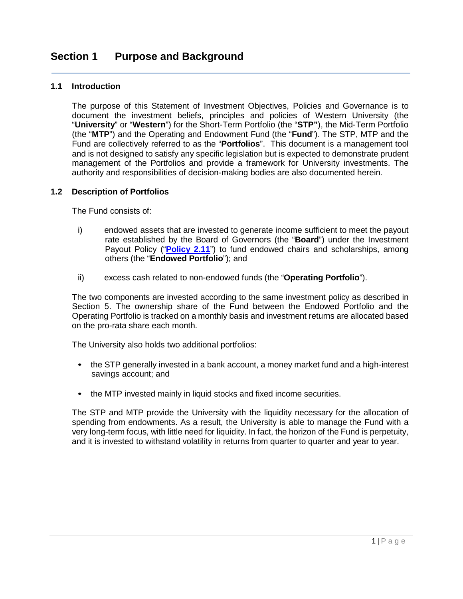## <span id="page-3-0"></span>**Section 1 Purpose and Background**

#### <span id="page-3-1"></span>**1.1 Introduction**

The purpose of this Statement of Investment Objectives, Policies and Governance is to document the investment beliefs, principles and policies of Western University (the "**University**" or "**Western**") for the Short-Term Portfolio (the "**STP"**), the Mid-Term Portfolio (the "**MTP**") and the Operating and Endowment Fund (the "**Fund**"). The STP, MTP and the Fund are collectively referred to as the "**Portfolios**". This document is a management tool and is not designed to satisfy any specific legislation but is expected to demonstrate prudent management of the Portfolios and provide a framework for University investments. The authority and responsibilities of decision-making bodies are also documented herein.

#### <span id="page-3-2"></span>**1.2 Description of Portfolios**

The Fund consists of:

- i) endowed assets that are invested to generate income sufficient to meet the payout rate established by the Board of Governors (the "**Board**") under the Investment Payout Policy ("**[Policy](https://www.uwo.ca/univsec/pdf/policies_procedures/section2/mapp211.pdf) 2.11**") to fund endowed chairs and scholarships, among others (the "**Endowed Portfolio**"); and
- ii) excess cash related to non-endowed funds (the "**Operating Portfolio**").

The two components are invested according to the same investment policy as described in Section 5. The ownership share of the Fund between the Endowed Portfolio and the Operating Portfolio is tracked on a monthly basis and investment returns are allocated based on the pro-rata share each month.

The University also holds two additional portfolios:

- the STP generally invested in a bank account, a money market fund and a high-interest savings account; and
- the MTP invested mainly in liquid stocks and fixed income securities.

The STP and MTP provide the University with the liquidity necessary for the allocation of spending from endowments. As a result, the University is able to manage the Fund with a very long-term focus, with little need for liquidity. In fact, the horizon of the Fund is perpetuity, and it is invested to withstand volatility in returns from quarter to quarter and year to year.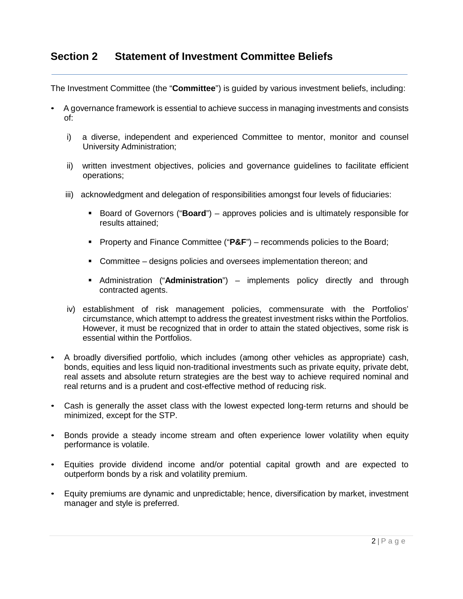## <span id="page-4-0"></span>**Section 2 Statement of Investment Committee Beliefs**

The Investment Committee (the "**Committee**") is guided by various investment beliefs, including:

- A governance framework is essential to achieve success in managing investments and consists of:
	- i) a diverse, independent and experienced Committee to mentor, monitor and counsel University Administration;
	- ii) written investment objectives, policies and governance guidelines to facilitate efficient operations;
	- iii) acknowledgment and delegation of responsibilities amongst four levels of fiduciaries:
		- Board of Governors ("**Board**") approves policies and is ultimately responsible for results attained;
		- **Property and Finance Committee ("P&F")** recommends policies to the Board;
		- Committee designs policies and oversees implementation thereon; and
		- Administration ("**Administration**") implements policy directly and through contracted agents.
	- iv) establishment of risk management policies, commensurate with the Portfolios' circumstance, which attempt to address the greatest investment risks within the Portfolios. However, it must be recognized that in order to attain the stated objectives, some risk is essential within the Portfolios.
- A broadly diversified portfolio, which includes (among other vehicles as appropriate) cash, bonds, equities and less liquid non-traditional investments such as private equity, private debt, real assets and absolute return strategies are the best way to achieve required nominal and real returns and is a prudent and cost-effective method of reducing risk.
- Cash is generally the asset class with the lowest expected long-term returns and should be minimized, except for the STP.
- Bonds provide a steady income stream and often experience lower volatility when equity performance is volatile.
- Equities provide dividend income and/or potential capital growth and are expected to outperform bonds by a risk and volatility premium.
- Equity premiums are dynamic and unpredictable; hence, diversification by market, investment manager and style is preferred.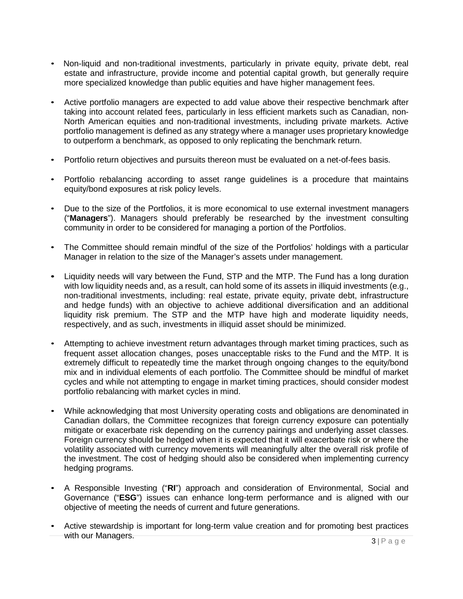- Non-liquid and non-traditional investments, particularly in private equity, private debt, real estate and infrastructure, provide income and potential capital growth, but generally require more specialized knowledge than public equities and have higher management fees.
- Active portfolio managers are expected to add value above their respective benchmark after taking into account related fees, particularly in less efficient markets such as Canadian, non-North American equities and non-traditional investments, including private markets. Active portfolio management is defined as any strategy where a manager uses proprietary knowledge to outperform a benchmark, as opposed to only replicating the benchmark return.
- Portfolio return objectives and pursuits thereon must be evaluated on a net-of-fees basis.
- Portfolio rebalancing according to asset range guidelines is a procedure that maintains equity/bond exposures at risk policy levels.
- Due to the size of the Portfolios, it is more economical to use external investment managers ("**Managers**"). Managers should preferably be researched by the investment consulting community in order to be considered for managing a portion of the Portfolios.
- The Committee should remain mindful of the size of the Portfolios' holdings with a particular Manager in relation to the size of the Manager's assets under management.
- Liquidity needs will vary between the Fund, STP and the MTP. The Fund has a long duration with low liquidity needs and, as a result, can hold some of its assets in illiquid investments (e.g., non-traditional investments, including: real estate, private equity, private debt, infrastructure and hedge funds) with an objective to achieve additional diversification and an additional liquidity risk premium. The STP and the MTP have high and moderate liquidity needs, respectively, and as such, investments in illiquid asset should be minimized.
- Attempting to achieve investment return advantages through market timing practices, such as frequent asset allocation changes, poses unacceptable risks to the Fund and the MTP. It is extremely difficult to repeatedly time the market through ongoing changes to the equity/bond mix and in individual elements of each portfolio. The Committee should be mindful of market cycles and while not attempting to engage in market timing practices, should consider modest portfolio rebalancing with market cycles in mind.
- While acknowledging that most University operating costs and obligations are denominated in Canadian dollars, the Committee recognizes that foreign currency exposure can potentially mitigate or exacerbate risk depending on the currency pairings and underlying asset classes. Foreign currency should be hedged when it is expected that it will exacerbate risk or where the volatility associated with currency movements will meaningfully alter the overall risk profile of the investment. The cost of hedging should also be considered when implementing currency hedging programs.
- A Responsible Investing ("**RI**") approach and consideration of Environmental, Social and Governance ("**ESG**") issues can enhance long-term performance and is aligned with our objective of meeting the needs of current and future generations.
- Active stewardship is important for long-term value creation and for promoting best practices with our Managers.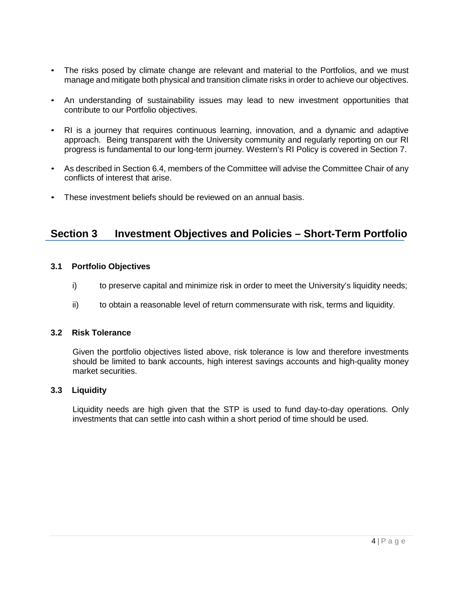- The risks posed by climate change are relevant and material to the Portfolios, and we must manage and mitigate both physical and transition climate risks in order to achieve our objectives.
- An understanding of sustainability issues may lead to new investment opportunities that contribute to our Portfolio objectives.
- RI is a journey that requires continuous learning, innovation, and a dynamic and adaptive approach. Being transparent with the University community and regularly reporting on our RI progress is fundamental to our long-term journey. Western's RI Policy is covered in Section 7.
- As described in Section 6.4, members of the Committee will advise the Committee Chair of any conflicts of interest that arise.
- These investment beliefs should be reviewed on an annual basis.

## <span id="page-6-0"></span>**Section 3 Investment Objectives and Policies – Short-Term Portfolio**

#### <span id="page-6-1"></span>**3.1 Portfolio Objectives**

- i) to preserve capital and minimize risk in order to meet the University's liquidity needs;
- ii) to obtain a reasonable level of return commensurate with risk, terms and liquidity.

#### <span id="page-6-2"></span>**3.2 Risk Tolerance**

Given the portfolio objectives listed above, risk tolerance is low and therefore investments should be limited to bank accounts, high interest savings accounts and high-quality money market securities.

#### <span id="page-6-3"></span>**3.3 Liquidity**

Liquidity needs are high given that the STP is used to fund day-to-day operations. Only investments that can settle into cash within a short period of time should be used.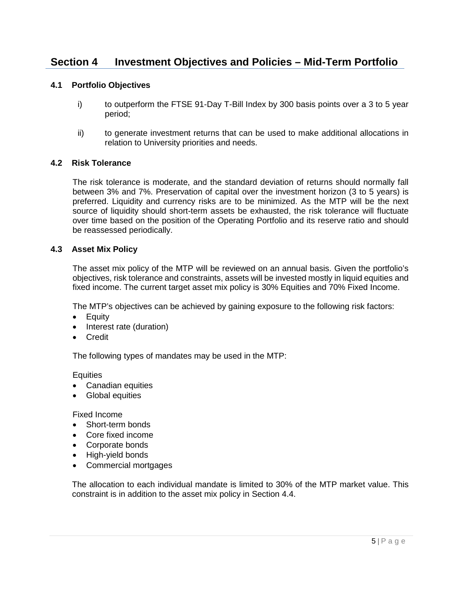## <span id="page-7-0"></span>**Section 4 Investment Objectives and Policies – Mid-Term Portfolio**

#### <span id="page-7-1"></span>**4.1 Portfolio Objectives**

- i) to outperform the FTSE 91-Day T-Bill Index by 300 basis points over a 3 to 5 year period;
- ii) to generate investment returns that can be used to make additional allocations in relation to University priorities and needs.

#### <span id="page-7-2"></span>**4.2 Risk Tolerance**

The risk tolerance is moderate, and the standard deviation of returns should normally fall between 3% and 7%. Preservation of capital over the investment horizon (3 to 5 years) is preferred. Liquidity and currency risks are to be minimized. As the MTP will be the next source of liquidity should short-term assets be exhausted, the risk tolerance will fluctuate over time based on the position of the Operating Portfolio and its reserve ratio and should be reassessed periodically.

#### <span id="page-7-3"></span>**4.3 Asset Mix Policy**

The asset mix policy of the MTP will be reviewed on an annual basis. Given the portfolio's objectives, risk tolerance and constraints, assets will be invested mostly in liquid equities and fixed income. The current target asset mix policy is 30% Equities and 70% Fixed Income.

The MTP's objectives can be achieved by gaining exposure to the following risk factors:

- Equity
- Interest rate (duration)
- Credit

The following types of mandates may be used in the MTP:

Equities

- Canadian equities
- Global equities

Fixed Income

- Short-term bonds
- Core fixed income
- Corporate bonds
- High-yield bonds
- Commercial mortgages

The allocation to each individual mandate is limited to 30% of the MTP market value. This constraint is in addition to the asset mix policy in Section 4.4.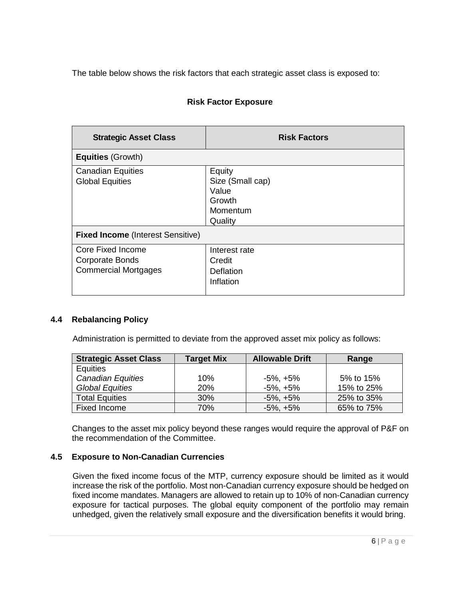The table below shows the risk factors that each strategic asset class is exposed to:

| <b>Strategic Asset Class</b>                                                                   | <b>Risk Factors</b>                                                  |  |
|------------------------------------------------------------------------------------------------|----------------------------------------------------------------------|--|
| <b>Equities (Growth)</b>                                                                       |                                                                      |  |
| <b>Canadian Equities</b><br><b>Global Equities</b><br><b>Fixed Income (Interest Sensitive)</b> | Equity<br>Size (Small cap)<br>Value<br>Growth<br>Momentum<br>Quality |  |
| <b>Core Fixed Income</b><br><b>Corporate Bonds</b><br><b>Commercial Mortgages</b>              | Interest rate<br>Credit<br><b>Deflation</b><br>Inflation             |  |

### **Risk Factor Exposure**

#### <span id="page-8-0"></span>**4.4 Rebalancing Policy**

Administration is permitted to deviate from the approved asset mix policy as follows:

| <b>Strategic Asset Class</b> | <b>Target Mix</b> | <b>Allowable Drift</b> | Range      |
|------------------------------|-------------------|------------------------|------------|
| Equities                     |                   |                        |            |
| <b>Canadian Equities</b>     | 10%               | -5%, +5%               | 5% to 15%  |
| <b>Global Equities</b>       | 20%               | -5%, +5%               | 15% to 25% |
| <b>Total Equities</b>        | 30%               | $-5\%$ , $+5\%$        | 25% to 35% |
| Fixed Income                 | 70%               | $-5\%$ , $+5\%$        | 65% to 75% |

Changes to the asset mix policy beyond these ranges would require the approval of P&F on the recommendation of the Committee.

#### <span id="page-8-1"></span>**4.5 Exposure to Non-Canadian Currencies**

Given the fixed income focus of the MTP, currency exposure should be limited as it would increase the risk of the portfolio. Most non-Canadian currency exposure should be hedged on fixed income mandates. Managers are allowed to retain up to 10% of non-Canadian currency exposure for tactical purposes. The global equity component of the portfolio may remain unhedged, given the relatively small exposure and the diversification benefits it would bring.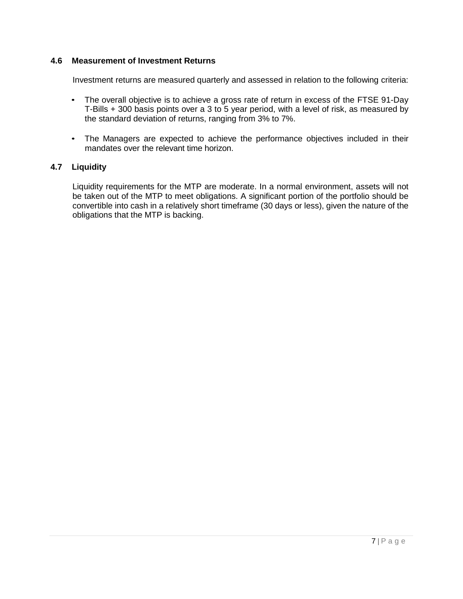#### <span id="page-9-0"></span>**4.6 Measurement of Investment Returns**

Investment returns are measured quarterly and assessed in relation to the following criteria:

- The overall objective is to achieve a gross rate of return in excess of the FTSE 91-Day T-Bills + 300 basis points over a 3 to 5 year period, with a level of risk, as measured by the standard deviation of returns, ranging from 3% to 7%.
- The Managers are expected to achieve the performance objectives included in their mandates over the relevant time horizon.

#### <span id="page-9-1"></span>**4.7 Liquidity**

Liquidity requirements for the MTP are moderate. In a normal environment, assets will not be taken out of the MTP to meet obligations. A significant portion of the portfolio should be convertible into cash in a relatively short timeframe (30 days or less), given the nature of the obligations that the MTP is backing.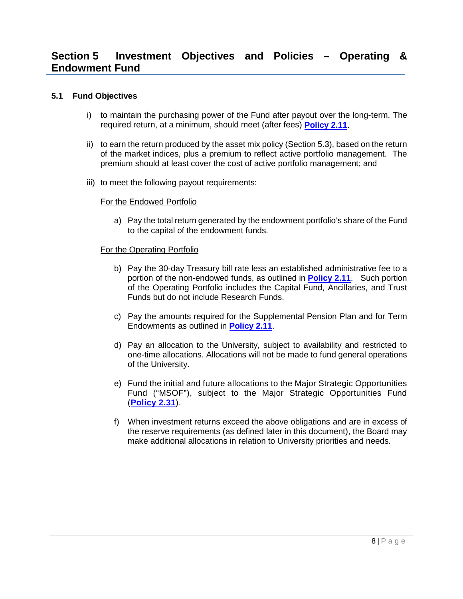#### <span id="page-10-1"></span><span id="page-10-0"></span>**5.1 Fund Objectives**

- i) to maintain the purchasing power of the Fund after payout over the long-term. The required return, at a minimum, should meet (after fees) **[Policy](https://www.uwo.ca/univsec/pdf/policies_procedures/section2/mapp211.pdf) 2.11**.
- ii) to earn the return produced by the asset mix policy (Section 5.3), based on the return of the market indices, plus a premium to reflect active portfolio management. The premium should at least cover the cost of active portfolio management; and
- iii) to meet the following payout requirements:

#### For the Endowed Portfolio

a) Pay the total return generated by the endowment portfolio's share of the Fund to the capital of the endowment funds.

#### For the Operating Portfolio

- b) Pay the 30-day Treasury bill rate less an established administrative fee to a portion of the non-endowed funds, as outlined in **[Policy](https://www.uwo.ca/univsec/pdf/policies_procedures/section2/mapp211.pdf) 2.11**. Such portion of the Operating Portfolio includes the Capital Fund, Ancillaries, and Trust Funds but do not include Research Funds.
- c) Pay the amounts required for the Supplemental Pension Plan and for Term Endowments as outlined in **[Policy](https://www.uwo.ca/univsec/pdf/policies_procedures/section2/mapp211.pdf) 2.11**.
- d) Pay an allocation to the University, subject to availability and restricted to one-time allocations. Allocations will not be made to fund general operations of the University.
- e) Fund the initial and future allocations to the Major Strategic Opportunities Fund ("MSOF"), subject to the Major Strategic Opportunities Fund (**[Policy 2.31](https://www.uwo.ca/univsec/pdf/policies_procedures/section2/mapp231.pdf)**).
- f) When investment returns exceed the above obligations and are in excess of the reserve requirements (as defined later in this document), the Board may make additional allocations in relation to University priorities and needs.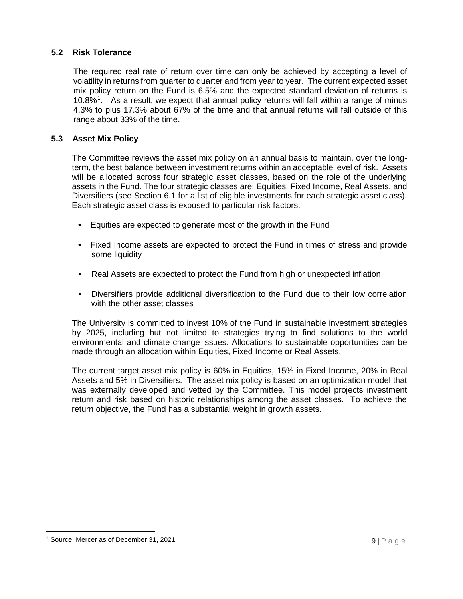#### <span id="page-11-0"></span>**5.2 Risk Tolerance**

The required real rate of return over time can only be achieved by accepting a level of volatility in returns from quarter to quarter and from year to year. The current expected asset mix policy return on the Fund is 6.5% and the expected standard deviation of returns is [1](#page-11-2)0.8%<sup>1</sup>. As a result, we expect that annual policy returns will fall within a range of minus 4.3% to plus 17.3% about 67% of the time and that annual returns will fall outside of this range about 33% of the time.

#### <span id="page-11-1"></span>**5.3 Asset Mix Policy**

The Committee reviews the asset mix policy on an annual basis to maintain, over the longterm, the best balance between investment returns within an acceptable level of risk. Assets will be allocated across four strategic asset classes, based on the role of the underlying assets in the Fund. The four strategic classes are: Equities, Fixed Income, Real Assets, and Diversifiers (see Section 6.1 for a list of eligible investments for each strategic asset class). Each strategic asset class is exposed to particular risk factors:

- Equities are expected to generate most of the growth in the Fund
- Fixed Income assets are expected to protect the Fund in times of stress and provide some liquidity
- Real Assets are expected to protect the Fund from high or unexpected inflation
- Diversifiers provide additional diversification to the Fund due to their low correlation with the other asset classes

The University is committed to invest 10% of the Fund in sustainable investment strategies by 2025, including but not limited to strategies trying to find solutions to the world environmental and climate change issues. Allocations to sustainable opportunities can be made through an allocation within Equities, Fixed Income or Real Assets.

The current target asset mix policy is 60% in Equities, 15% in Fixed Income, 20% in Real Assets and 5% in Diversifiers. The asset mix policy is based on an optimization model that was externally developed and vetted by the Committee. This model projects investment return and risk based on historic relationships among the asset classes. To achieve the return objective, the Fund has a substantial weight in growth assets.

<span id="page-11-2"></span> $\overline{a}$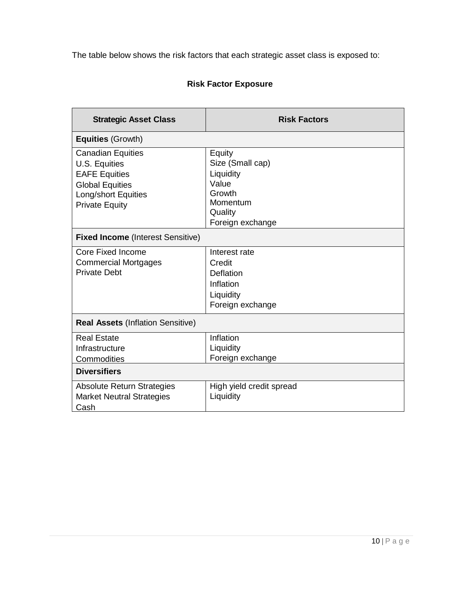The table below shows the risk factors that each strategic asset class is exposed to:

| <b>Strategic Asset Class</b>                                                                                                                | <b>Risk Factors</b>                                                                                   |
|---------------------------------------------------------------------------------------------------------------------------------------------|-------------------------------------------------------------------------------------------------------|
| <b>Equities (Growth)</b>                                                                                                                    |                                                                                                       |
| <b>Canadian Equities</b><br>U.S. Equities<br><b>EAFE Equities</b><br><b>Global Equities</b><br>Long/short Equities<br><b>Private Equity</b> | Equity<br>Size (Small cap)<br>Liquidity<br>Value<br>Growth<br>Momentum<br>Quality<br>Foreign exchange |
| <b>Fixed Income (Interest Sensitive)</b>                                                                                                    |                                                                                                       |
| Core Fixed Income<br><b>Commercial Mortgages</b><br><b>Private Debt</b>                                                                     | Interest rate<br>Credit<br>Deflation<br>Inflation<br>Liquidity<br>Foreign exchange                    |
| <b>Real Assets (Inflation Sensitive)</b>                                                                                                    |                                                                                                       |
| <b>Real Estate</b><br>Infrastructure<br>Commodities<br><b>Diversifiers</b>                                                                  | Inflation<br>Liquidity<br>Foreign exchange                                                            |
| <b>Absolute Return Strategies</b><br><b>Market Neutral Strategies</b><br>Cash                                                               | High yield credit spread<br>Liquidity                                                                 |

## **Risk Factor Exposure**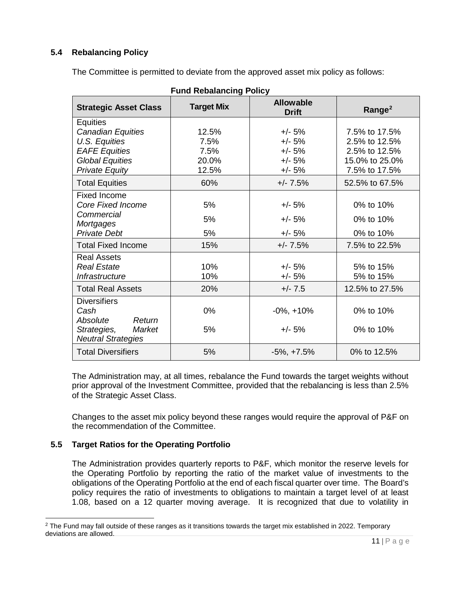#### <span id="page-13-0"></span>**5.4 Rebalancing Policy**

The Committee is permitted to deviate from the approved asset mix policy as follows:

| i unu n <del>c</del> ialahung Luluy |                   |                                  |                    |  |  |
|-------------------------------------|-------------------|----------------------------------|--------------------|--|--|
| <b>Strategic Asset Class</b>        | <b>Target Mix</b> | <b>Allowable</b><br><b>Drift</b> | Range <sup>2</sup> |  |  |
| Equities                            |                   |                                  |                    |  |  |
| <b>Canadian Equities</b>            | 12.5%             | $+/- 5%$                         | 7.5% to 17.5%      |  |  |
| U.S. Equities                       | 7.5%              | $+/- 5%$                         | 2.5% to 12.5%      |  |  |
|                                     |                   |                                  |                    |  |  |
| <b>EAFE Equities</b>                | 7.5%              | $+/- 5%$                         | 2.5% to 12.5%      |  |  |
| <b>Global Equities</b>              | 20.0%             | $+/- 5%$                         | 15.0% to 25.0%     |  |  |
| <b>Private Equity</b>               | 12.5%             | $+/- 5%$                         | 7.5% to 17.5%      |  |  |
| <b>Total Equities</b>               | 60%               | $+/- 7.5%$                       | 52.5% to 67.5%     |  |  |
| <b>Fixed Income</b>                 |                   |                                  |                    |  |  |
| <b>Core Fixed Income</b>            | 5%                | $+/- 5%$                         | 0% to 10%          |  |  |
| Commercial<br><b>Mortgages</b>      | 5%                | $+/- 5%$                         | 0% to 10%          |  |  |
| <b>Private Debt</b>                 | 5%                | $+/- 5%$                         | 0% to 10%          |  |  |
| <b>Total Fixed Income</b>           | 15%               | $+/- 7.5%$                       | 7.5% to 22.5%      |  |  |
| <b>Real Assets</b>                  |                   |                                  |                    |  |  |
| <b>Real Estate</b>                  | 10%               | $+/- 5%$                         | 5% to 15%          |  |  |
| Infrastructure                      | 10%               | $+/- 5%$                         | 5% to 15%          |  |  |
| <b>Total Real Assets</b>            | 20%               | $+/- 7.5$                        | 12.5% to 27.5%     |  |  |
| <b>Diversifiers</b>                 |                   |                                  |                    |  |  |
| Cash                                | 0%                | $-0\%$ , $+10\%$                 | 0% to 10%          |  |  |
| Absolute<br>Return                  |                   |                                  |                    |  |  |
| Strategies,<br><b>Market</b>        | 5%                | $+/- 5%$                         | 0% to 10%          |  |  |
| <b>Neutral Strategies</b>           |                   |                                  |                    |  |  |
| <b>Total Diversifiers</b>           | 5%                | $-5\%$ , $+7.5\%$                | 0% to 12.5%        |  |  |

#### **Fund Rebalancing Policy**

The Administration may, at all times, rebalance the Fund towards the target weights without prior approval of the Investment Committee, provided that the rebalancing is less than 2.5% of the Strategic Asset Class.

Changes to the asset mix policy beyond these ranges would require the approval of P&F on the recommendation of the Committee.

#### <span id="page-13-1"></span>**5.5 Target Ratios for the Operating Portfolio**

 $\overline{a}$ 

The Administration provides quarterly reports to P&F, which monitor the reserve levels for the Operating Portfolio by reporting the ratio of the market value of investments to the obligations of the Operating Portfolio at the end of each fiscal quarter over time. The Board's policy requires the ratio of investments to obligations to maintain a target level of at least 1.08, based on a 12 quarter moving average. It is recognized that due to volatility in

<span id="page-13-2"></span><sup>&</sup>lt;sup>2</sup> The Fund may fall outside of these ranges as it transitions towards the target mix established in 2022. Temporary deviations are allowed.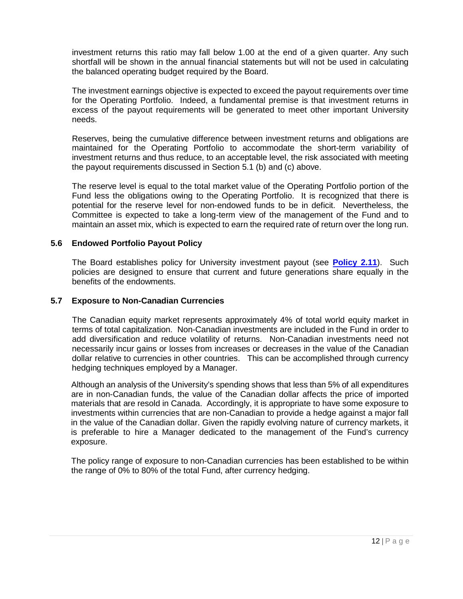investment returns this ratio may fall below 1.00 at the end of a given quarter. Any such shortfall will be shown in the annual financial statements but will not be used in calculating the balanced operating budget required by the Board.

The investment earnings objective is expected to exceed the payout requirements over time for the Operating Portfolio. Indeed, a fundamental premise is that investment returns in excess of the payout requirements will be generated to meet other important University needs.

Reserves, being the cumulative difference between investment returns and obligations are maintained for the Operating Portfolio to accommodate the short-term variability of investment returns and thus reduce, to an acceptable level, the risk associated with meeting the payout requirements discussed in Section 5.1 (b) and (c) above.

The reserve level is equal to the total market value of the Operating Portfolio portion of the Fund less the obligations owing to the Operating Portfolio. It is recognized that there is potential for the reserve level for non-endowed funds to be in deficit. Nevertheless, the Committee is expected to take a long-term view of the management of the Fund and to maintain an asset mix, which is expected to earn the required rate of return over the long run.

#### <span id="page-14-0"></span>**5.6 Endowed Portfolio Payout Policy**

The Board establishes policy for University investment payout (see **[Policy](https://www.uwo.ca/univsec/pdf/policies_procedures/section2/mapp211.pdf) 2.11**). Such policies are designed to ensure that current and future generations share equally in the benefits of the endowments.

#### <span id="page-14-1"></span>**5.7 Exposure to Non-Canadian Currencies**

The Canadian equity market represents approximately 4% of total world equity market in terms of total capitalization. Non-Canadian investments are included in the Fund in order to add diversification and reduce volatility of returns. Non-Canadian investments need not necessarily incur gains or losses from increases or decreases in the value of the Canadian dollar relative to currencies in other countries. This can be accomplished through currency hedging techniques employed by a Manager.

Although an analysis of the University's spending shows that less than 5% of all expenditures are in non-Canadian funds, the value of the Canadian dollar affects the price of imported materials that are resold in Canada. Accordingly, it is appropriate to have some exposure to investments within currencies that are non-Canadian to provide a hedge against a major fall in the value of the Canadian dollar. Given the rapidly evolving nature of currency markets, it is preferable to hire a Manager dedicated to the management of the Fund's currency exposure.

The policy range of exposure to non-Canadian currencies has been established to be within the range of 0% to 80% of the total Fund, after currency hedging.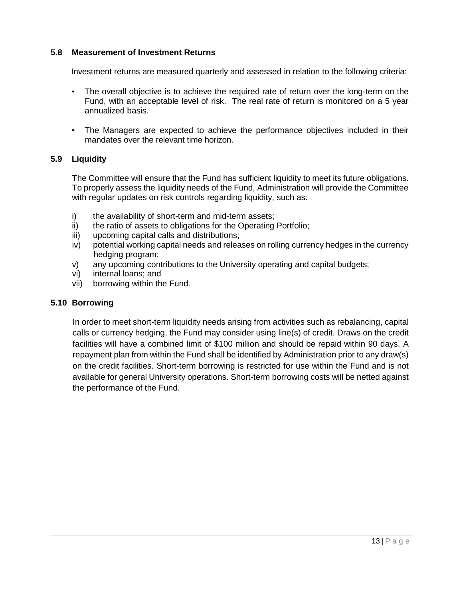#### <span id="page-15-0"></span>**5.8 Measurement of Investment Returns**

Investment returns are measured quarterly and assessed in relation to the following criteria:

- The overall objective is to achieve the required rate of return over the long-term on the Fund, with an acceptable level of risk. The real rate of return is monitored on a 5 year annualized basis.
- The Managers are expected to achieve the performance objectives included in their mandates over the relevant time horizon.

#### <span id="page-15-1"></span>**5.9 Liquidity**

The Committee will ensure that the Fund has sufficient liquidity to meet its future obligations. To properly assess the liquidity needs of the Fund, Administration will provide the Committee with regular updates on risk controls regarding liquidity, such as:

- i) the availability of short-term and mid-term assets;
- ii) the ratio of assets to obligations for the Operating Portfolio;
- iii) upcoming capital calls and distributions;
- iv) potential working capital needs and releases on rolling currency hedges in the currency hedging program;
- v) any upcoming contributions to the University operating and capital budgets;
- vi) internal loans; and
- vii) borrowing within the Fund.

#### **5.10 Borrowing**

In order to meet short-term liquidity needs arising from activities such as rebalancing, capital calls or currency hedging, the Fund may consider using line(s) of credit. Draws on the credit facilities will have a combined limit of \$100 million and should be repaid within 90 days. A repayment plan from within the Fund shall be identified by Administration prior to any draw(s) on the credit facilities. Short-term borrowing is restricted for use within the Fund and is not available for general University operations. Short-term borrowing costs will be netted against the performance of the Fund.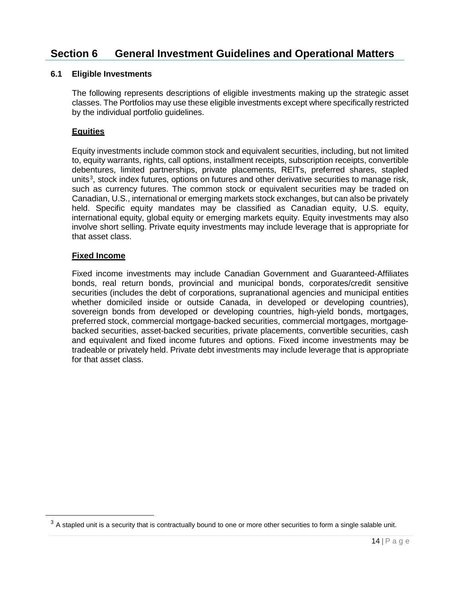## <span id="page-16-0"></span>**Section 6 General Investment Guidelines and Operational Matters**

#### <span id="page-16-1"></span>**6.1 Eligible Investments**

The following represents descriptions of eligible investments making up the strategic asset classes. The Portfolios may use these eligible investments except where specifically restricted by the individual portfolio guidelines.

#### **Equities**

Equity investments include common stock and equivalent securities, including, but not limited to, equity warrants, rights, call options, installment receipts, subscription receipts, convertible debentures, limited partnerships, private placements, REITs, preferred shares, stapled units<sup>[3](#page-16-2)</sup>, stock index futures, options on futures and other derivative securities to manage risk, such as currency futures. The common stock or equivalent securities may be traded on Canadian, U.S., international or emerging markets stock exchanges, but can also be privately held. Specific equity mandates may be classified as Canadian equity, U.S. equity, international equity, global equity or emerging markets equity. Equity investments may also involve short selling. Private equity investments may include leverage that is appropriate for that asset class.

#### **Fixed Income**

<span id="page-16-2"></span> $\overline{\phantom{a}}$ 

Fixed income investments may include Canadian Government and Guaranteed-Affiliates bonds, real return bonds, provincial and municipal bonds, corporates/credit sensitive securities (includes the debt of corporations, supranational agencies and municipal entities whether domiciled inside or outside Canada, in developed or developing countries), sovereign bonds from developed or developing countries, high-yield bonds, mortgages, preferred stock, commercial mortgage-backed securities, commercial mortgages, mortgagebacked securities, asset-backed securities, private placements, convertible securities, cash and equivalent and fixed income futures and options. Fixed income investments may be tradeable or privately held. Private debt investments may include leverage that is appropriate for that asset class.

 $3$  A stapled unit is a security that is contractually bound to one or more other securities to form a single salable unit.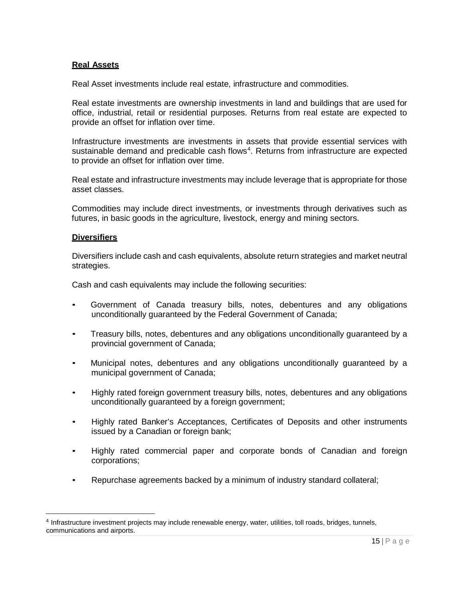#### **Real Assets**

Real Asset investments include real estate, infrastructure and commodities.

Real estate investments are ownership investments in land and buildings that are used for office, industrial, retail or residential purposes. Returns from real estate are expected to provide an offset for inflation over time.

Infrastructure investments are investments in assets that provide essential services with sustainable demand and predicable cash flows<sup>[4](#page-17-0)</sup>. Returns from infrastructure are expected to provide an offset for inflation over time.

Real estate and infrastructure investments may include leverage that is appropriate for those asset classes.

Commodities may include direct investments, or investments through derivatives such as futures, in basic goods in the agriculture, livestock, energy and mining sectors.

#### **Diversifiers**

 $\overline{a}$ 

Diversifiers include cash and cash equivalents, absolute return strategies and market neutral strategies.

Cash and cash equivalents may include the following securities:

- Government of Canada treasury bills, notes, debentures and any obligations unconditionally guaranteed by the Federal Government of Canada;
- Treasury bills, notes, debentures and any obligations unconditionally guaranteed by a provincial government of Canada;
- Municipal notes, debentures and any obligations unconditionally guaranteed by a municipal government of Canada;
- Highly rated foreign government treasury bills, notes, debentures and any obligations unconditionally guaranteed by a foreign government;
- Highly rated Banker's Acceptances, Certificates of Deposits and other instruments issued by a Canadian or foreign bank;
- Highly rated commercial paper and corporate bonds of Canadian and foreign corporations;
- Repurchase agreements backed by a minimum of industry standard collateral;

<span id="page-17-0"></span><sup>4</sup> Infrastructure investment projects may include renewable energy, water, utilities, toll roads, bridges, tunnels, communications and airports.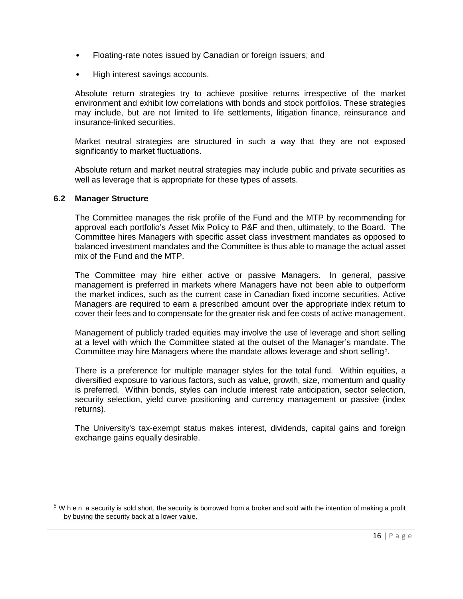- Floating-rate notes issued by Canadian or foreign issuers; and
- High interest savings accounts.

Absolute return strategies try to achieve positive returns irrespective of the market environment and exhibit low correlations with bonds and stock portfolios. These strategies may include, but are not limited to life settlements, litigation finance, reinsurance and insurance-linked securities.

Market neutral strategies are structured in such a way that they are not exposed significantly to market fluctuations.

Absolute return and market neutral strategies may include public and private securities as well as leverage that is appropriate for these types of assets.

#### <span id="page-18-0"></span>**6.2 Manager Structure**

<span id="page-18-1"></span> $\overline{a}$ 

The Committee manages the risk profile of the Fund and the MTP by recommending for approval each portfolio's Asset Mix Policy to P&F and then, ultimately, to the Board. The Committee hires Managers with specific asset class investment mandates as opposed to balanced investment mandates and the Committee is thus able to manage the actual asset mix of the Fund and the MTP.

The Committee may hire either active or passive Managers. In general, passive management is preferred in markets where Managers have not been able to outperform the market indices, such as the current case in Canadian fixed income securities. Active Managers are required to earn a prescribed amount over the appropriate index return to cover their fees and to compensate for the greater risk and fee costs of active management.

Management of publicly traded equities may involve the use of leverage and short selling at a level with which the Committee stated at the outset of the Manager's mandate. The Committee may hire Managers where the mandate allows leverage and short selling<sup>[5](#page-18-1)</sup>.

There is a preference for multiple manager styles for the total fund. Within equities, a diversified exposure to various factors, such as value, growth, size, momentum and quality is preferred. Within bonds, styles can include interest rate anticipation, sector selection, security selection, yield curve positioning and currency management or passive (index returns).

The University's tax-exempt status makes interest, dividends, capital gains and foreign exchange gains equally desirable.

 $5$  W h e n a security is sold short, the security is borrowed from a broker and sold with the intention of making a profit by buying the security back at a lower value.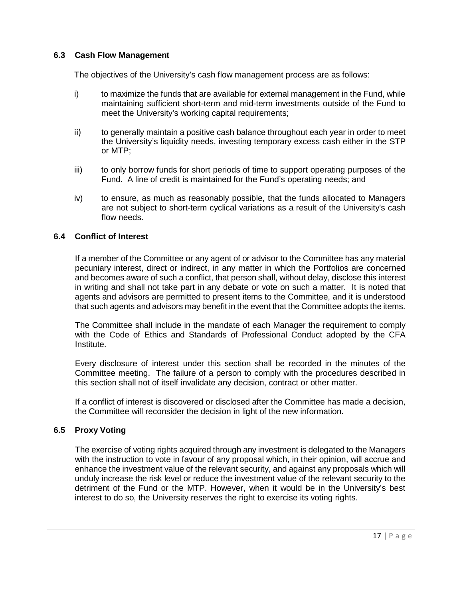#### <span id="page-19-0"></span>**6.3 Cash Flow Management**

The objectives of the University's cash flow management process are as follows:

- i) to maximize the funds that are available for external management in the Fund, while maintaining sufficient short-term and mid-term investments outside of the Fund to meet the University's working capital requirements;
- ii) to generally maintain a positive cash balance throughout each year in order to meet the University's liquidity needs, investing temporary excess cash either in the STP or MTP;
- iii) to only borrow funds for short periods of time to support operating purposes of the Fund. A line of credit is maintained for the Fund's operating needs; and
- iv) to ensure, as much as reasonably possible, that the funds allocated to Managers are not subject to short-term cyclical variations as a result of the University's cash flow needs.

#### <span id="page-19-1"></span>**6.4 Conflict of Interest**

If a member of the Committee or any agent of or advisor to the Committee has any material pecuniary interest, direct or indirect, in any matter in which the Portfolios are concerned and becomes aware of such a conflict, that person shall, without delay, disclose this interest in writing and shall not take part in any debate or vote on such a matter. It is noted that agents and advisors are permitted to present items to the Committee, and it is understood that such agents and advisors may benefit in the event that the Committee adopts the items.

The Committee shall include in the mandate of each Manager the requirement to comply with the Code of Ethics and Standards of Professional Conduct adopted by the CFA Institute.

Every disclosure of interest under this section shall be recorded in the minutes of the Committee meeting. The failure of a person to comply with the procedures described in this section shall not of itself invalidate any decision, contract or other matter.

If a conflict of interest is discovered or disclosed after the Committee has made a decision, the Committee will reconsider the decision in light of the new information.

#### <span id="page-19-2"></span>**6.5 Proxy Voting**

The exercise of voting rights acquired through any investment is delegated to the Managers with the instruction to vote in favour of any proposal which, in their opinion, will accrue and enhance the investment value of the relevant security, and against any proposals which will unduly increase the risk level or reduce the investment value of the relevant security to the detriment of the Fund or the MTP. However, when it would be in the University's best interest to do so, the University reserves the right to exercise its voting rights.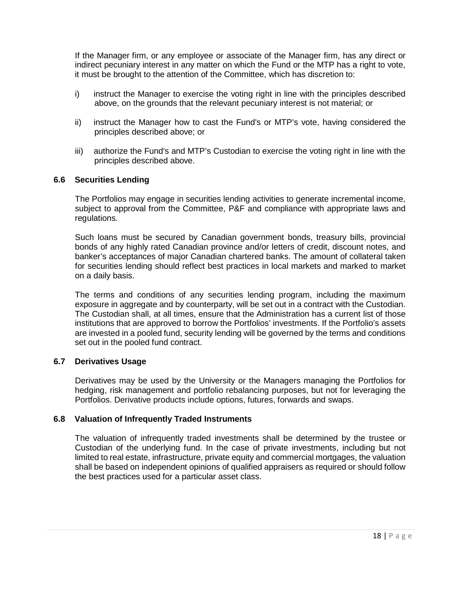If the Manager firm, or any employee or associate of the Manager firm, has any direct or indirect pecuniary interest in any matter on which the Fund or the MTP has a right to vote, it must be brought to the attention of the Committee, which has discretion to:

- i) instruct the Manager to exercise the voting right in line with the principles described above, on the grounds that the relevant pecuniary interest is not material; or
- ii) instruct the Manager how to cast the Fund's or MTP's vote, having considered the principles described above; or
- iii) authorize the Fund's and MTP's Custodian to exercise the voting right in line with the principles described above.

#### <span id="page-20-0"></span>**6.6 Securities Lending**

The Portfolios may engage in securities lending activities to generate incremental income, subject to approval from the Committee, P&F and compliance with appropriate laws and regulations.

Such loans must be secured by Canadian government bonds, treasury bills, provincial bonds of any highly rated Canadian province and/or letters of credit, discount notes, and banker's acceptances of major Canadian chartered banks. The amount of collateral taken for securities lending should reflect best practices in local markets and marked to market on a daily basis.

The terms and conditions of any securities lending program, including the maximum exposure in aggregate and by counterparty, will be set out in a contract with the Custodian. The Custodian shall, at all times, ensure that the Administration has a current list of those institutions that are approved to borrow the Portfolios' investments. If the Portfolio's assets are invested in a pooled fund, security lending will be governed by the terms and conditions set out in the pooled fund contract.

#### <span id="page-20-1"></span>**6.7 Derivatives Usage**

Derivatives may be used by the University or the Managers managing the Portfolios for hedging, risk management and portfolio rebalancing purposes, but not for leveraging the Portfolios. Derivative products include options, futures, forwards and swaps.

#### <span id="page-20-2"></span>**6.8 Valuation of Infrequently Traded Instruments**

The valuation of infrequently traded investments shall be determined by the trustee or Custodian of the underlying fund. In the case of private investments, including but not limited to real estate, infrastructure, private equity and commercial mortgages, the valuation shall be based on independent opinions of qualified appraisers as required or should follow the best practices used for a particular asset class.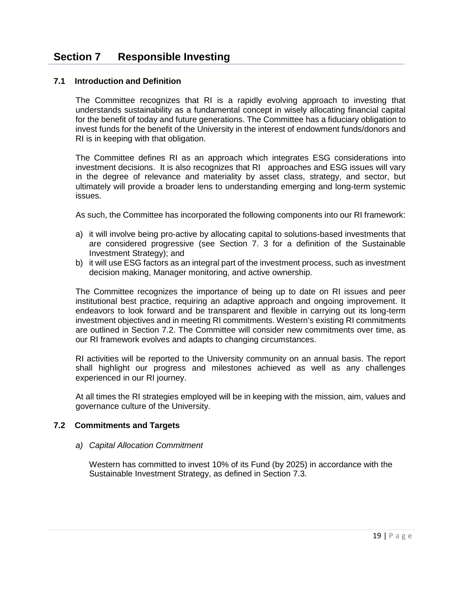## <span id="page-21-0"></span>**Section 7 Responsible Investing**

#### <span id="page-21-1"></span>**7.1 Introduction and Definition**

The Committee recognizes that RI is a rapidly evolving approach to investing that understands sustainability as a fundamental concept in wisely allocating financial capital for the benefit of today and future generations. The Committee has a fiduciary obligation to invest funds for the benefit of the University in the interest of endowment funds/donors and RI is in keeping with that obligation.

The Committee defines RI as an approach which integrates ESG considerations into investment decisions. It is also recognizes that RI approaches and ESG issues will vary in the degree of relevance and materiality by asset class, strategy, and sector, but ultimately will provide a broader lens to understanding emerging and long-term systemic issues.

As such, the Committee has incorporated the following components into our RI framework:

- a) it will involve being pro-active by allocating capital to solutions-based investments that are considered progressive (see Section 7. 3 for a definition of the Sustainable Investment Strategy); and
- b) it will use ESG factors as an integral part of the investment process, such as investment decision making, Manager monitoring, and active ownership.

The Committee recognizes the importance of being up to date on RI issues and peer institutional best practice, requiring an adaptive approach and ongoing improvement. It endeavors to look forward and be transparent and flexible in carrying out its long-term investment objectives and in meeting RI commitments. Western's existing RI commitments are outlined in Section 7.2. The Committee will consider new commitments over time, as our RI framework evolves and adapts to changing circumstances.

RI activities will be reported to the University community on an annual basis. The report shall highlight our progress and milestones achieved as well as any challenges experienced in our RI journey.

At all times the RI strategies employed will be in keeping with the mission, aim, values and governance culture of the University.

#### <span id="page-21-2"></span>**7.2 Commitments and Targets**

#### *a) Capital Allocation Commitment*

Western has committed to invest 10% of its Fund (by 2025) in accordance with the Sustainable Investment Strategy, as defined in Section 7.3.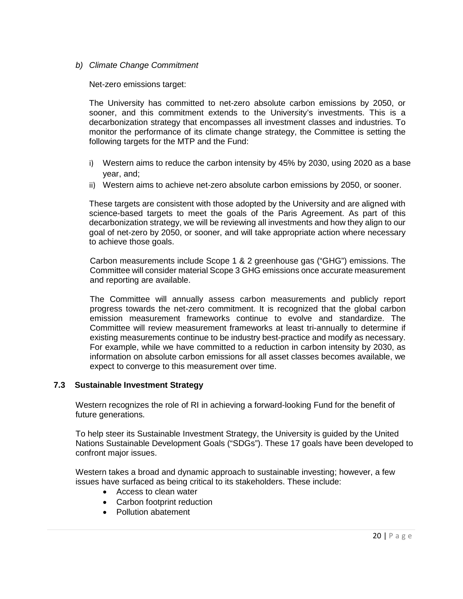*b) Climate Change Commitment*

Net-zero emissions target:

The University has committed to net-zero absolute carbon emissions by 2050, or sooner, and this commitment extends to the University's investments. This is a decarbonization strategy that encompasses all investment classes and industries. To monitor the performance of its climate change strategy, the Committee is setting the following targets for the MTP and the Fund:

- i) Western aims to reduce the carbon intensity by 45% by 2030, using 2020 as a base year, and;
- ii) Western aims to achieve net-zero absolute carbon emissions by 2050, or sooner.

These targets are consistent with those adopted by the University and are aligned with science-based targets to meet the goals of the Paris Agreement. As part of this decarbonization strategy, we will be reviewing all investments and how they align to our goal of net-zero by 2050, or sooner, and will take appropriate action where necessary to achieve those goals.

Carbon measurements include Scope 1 & 2 greenhouse gas ("GHG") emissions. The Committee will consider material Scope 3 GHG emissions once accurate measurement and reporting are available.

The Committee will annually assess carbon measurements and publicly report progress towards the net-zero commitment. It is recognized that the global carbon emission measurement frameworks continue to evolve and standardize. The Committee will review measurement frameworks at least tri-annually to determine if existing measurements continue to be industry best-practice and modify as necessary. For example, while we have committed to a reduction in carbon intensity by 2030, as information on absolute carbon emissions for all asset classes becomes available, we expect to converge to this measurement over time.

#### <span id="page-22-0"></span>**7.3 Sustainable Investment Strategy**

Western recognizes the role of RI in achieving a forward-looking Fund for the benefit of future generations.

To help steer its Sustainable Investment Strategy, the University is guided by the United Nations Sustainable Development Goals ("SDGs"). These 17 goals have been developed to confront major issues.

Western takes a broad and dynamic approach to sustainable investing; however, a few issues have surfaced as being critical to its stakeholders. These include:

- Access to clean water
- Carbon footprint reduction
- Pollution abatement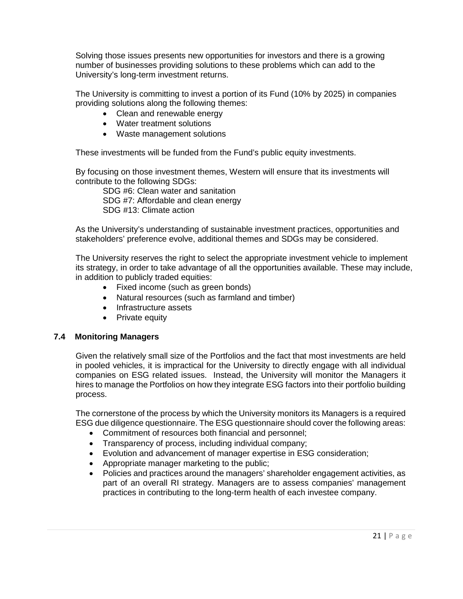Solving those issues presents new opportunities for investors and there is a growing number of businesses providing solutions to these problems which can add to the University's long-term investment returns.

The University is committing to invest a portion of its Fund (10% by 2025) in companies providing solutions along the following themes:

- Clean and renewable energy
- Water treatment solutions
- Waste management solutions

These investments will be funded from the Fund's public equity investments.

By focusing on those investment themes, Western will ensure that its investments will contribute to the following SDGs:

SDG #6: Clean water and sanitation SDG #7: Affordable and clean energy SDG #13: Climate action

As the University's understanding of sustainable investment practices, opportunities and stakeholders' preference evolve, additional themes and SDGs may be considered.

The University reserves the right to select the appropriate investment vehicle to implement its strategy, in order to take advantage of all the opportunities available. These may include, in addition to publicly traded equities:

- Fixed income (such as green bonds)
- Natural resources (such as farmland and timber)
- Infrastructure assets
- Private equity

#### <span id="page-23-0"></span>**7.4 Monitoring Managers**

Given the relatively small size of the Portfolios and the fact that most investments are held in pooled vehicles, it is impractical for the University to directly engage with all individual companies on ESG related issues. Instead, the University will monitor the Managers it hires to manage the Portfolios on how they integrate ESG factors into their portfolio building process.

The cornerstone of the process by which the University monitors its Managers is a required ESG due diligence questionnaire. The ESG questionnaire should cover the following areas:

- Commitment of resources both financial and personnel;
- Transparency of process, including individual company;
- Evolution and advancement of manager expertise in ESG consideration;
- Appropriate manager marketing to the public;
- Policies and practices around the managers' shareholder engagement activities, as part of an overall RI strategy. Managers are to assess companies' management practices in contributing to the long-term health of each investee company.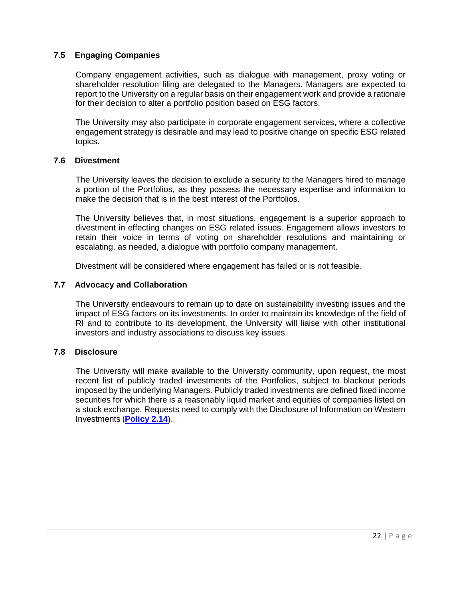#### <span id="page-24-0"></span>**7.5 Engaging Companies**

Company engagement activities, such as dialogue with management, proxy voting or shareholder resolution filing are delegated to the Managers. Managers are expected to report to the University on a regular basis on their engagement work and provide a rationale for their decision to alter a portfolio position based on ESG factors.

The University may also participate in corporate engagement services, where a collective engagement strategy is desirable and may lead to positive change on specific ESG related topics.

#### <span id="page-24-1"></span>**7.6 Divestment**

The University leaves the decision to exclude a security to the Managers hired to manage a portion of the Portfolios, as they possess the necessary expertise and information to make the decision that is in the best interest of the Portfolios.

The University believes that, in most situations, engagement is a superior approach to divestment in effecting changes on ESG related issues. Engagement allows investors to retain their voice in terms of voting on shareholder resolutions and maintaining or escalating, as needed, a dialogue with portfolio company management.

Divestment will be considered where engagement has failed or is not feasible.

#### <span id="page-24-2"></span>**7.7 Advocacy and Collaboration**

The University endeavours to remain up to date on sustainability investing issues and the impact of ESG factors on its investments. In order to maintain its knowledge of the field of RI and to contribute to its development, the University will liaise with other institutional investors and industry associations to discuss key issues.

#### <span id="page-24-3"></span>**7.8 Disclosure**

The University will make available to the University community, upon request, the most recent list of publicly traded investments of the Portfolios, subject to blackout periods imposed by the underlying Managers. Publicly traded investments are defined fixed income securities for which there is a reasonably liquid market and equities of companies listed on a stock exchange. Requests need to comply with the Disclosure of Information on Western Investments (**[Policy 2.14](https://www.uwo.ca/univsec/pdf/policies_procedures/section2/mapp214.pdfhttps:/www.uwo.ca/univsec/pdf/policies_procedures/section2/mapp214.pdf)**).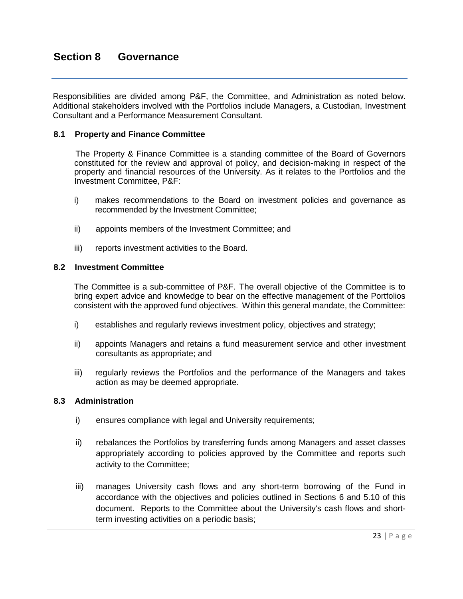<span id="page-25-0"></span>Responsibilities are divided among P&F, the Committee, and Administration as noted below. Additional stakeholders involved with the Portfolios include Managers, a Custodian, Investment Consultant and a Performance Measurement Consultant.

#### <span id="page-25-1"></span>**8.1 Property and Finance Committee**

The Property & Finance Committee is a standing committee of the Board of Governors constituted for the review and approval of policy, and decision-making in respect of the property and financial resources of the University. As it relates to the Portfolios and the Investment Committee, P&F:

- i) makes recommendations to the Board on investment policies and governance as recommended by the Investment Committee;
- ii) appoints members of the Investment Committee; and
- iii) reports investment activities to the Board.

#### <span id="page-25-2"></span>**8.2 Investment Committee**

The Committee is a sub-committee of P&F. The overall objective of the Committee is to bring expert advice and knowledge to bear on the effective management of the Portfolios consistent with the approved fund objectives. Within this general mandate, the Committee:

- i) establishes and regularly reviews investment policy, objectives and strategy;
- ii) appoints Managers and retains a fund measurement service and other investment consultants as appropriate; and
- iii) regularly reviews the Portfolios and the performance of the Managers and takes action as may be deemed appropriate.

#### <span id="page-25-3"></span>**8.3 Administration**

- i) ensures compliance with legal and University requirements;
- ii) rebalances the Portfolios by transferring funds among Managers and asset classes appropriately according to policies approved by the Committee and reports such activity to the Committee;
- iii) manages University cash flows and any short-term borrowing of the Fund in accordance with the objectives and policies outlined in Sections 6 and 5.10 of this document. Reports to the Committee about the University's cash flows and shortterm investing activities on a periodic basis;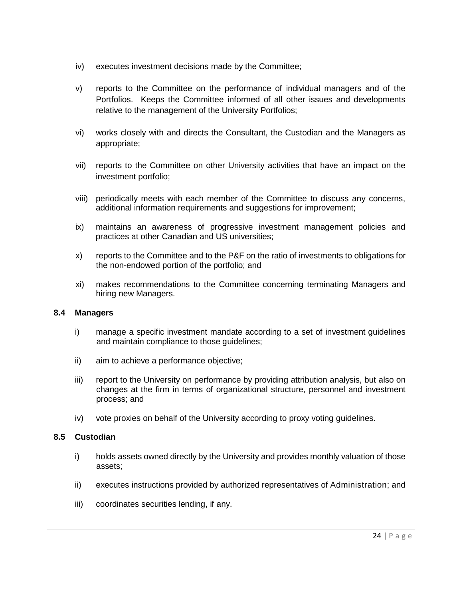- iv) executes investment decisions made by the Committee;
- v) reports to the Committee on the performance of individual managers and of the Portfolios. Keeps the Committee informed of all other issues and developments relative to the management of the University Portfolios;
- vi) works closely with and directs the Consultant, the Custodian and the Managers as appropriate;
- vii) reports to the Committee on other University activities that have an impact on the investment portfolio;
- viii) periodically meets with each member of the Committee to discuss any concerns, additional information requirements and suggestions for improvement;
- ix) maintains an awareness of progressive investment management policies and practices at other Canadian and US universities;
- x) reports to the Committee and to the P&F on the ratio of investments to obligations for the non-endowed portion of the portfolio; and
- xi) makes recommendations to the Committee concerning terminating Managers and hiring new Managers.

#### <span id="page-26-0"></span>**8.4 Managers**

- i) manage a specific investment mandate according to a set of investment guidelines and maintain compliance to those guidelines;
- ii) aim to achieve a performance objective;
- iii) report to the University on performance by providing attribution analysis, but also on changes at the firm in terms of organizational structure, personnel and investment process; and
- iv) vote proxies on behalf of the University according to proxy voting guidelines.

#### <span id="page-26-1"></span>**8.5 Custodian**

- i) holds assets owned directly by the University and provides monthly valuation of those assets;
- ii) executes instructions provided by authorized representatives of Administration; and
- iii) coordinates securities lending, if any.